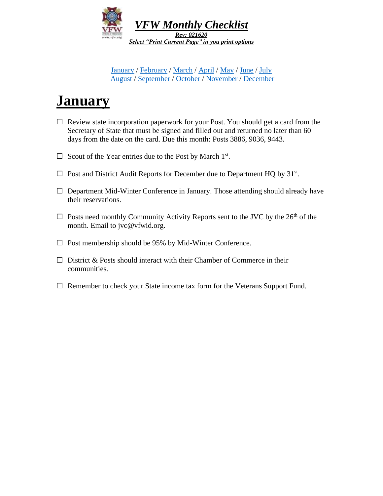

[January](#page-0-0) / [February](#page-1-0) / [March](#page-2-0) / [April](#page-3-0) / [May](#page-4-0) / [June](#page-5-0) / [July](#page-6-0) [August](#page-7-0) / [September](#page-8-0) / [October](#page-9-0) / [November](#page-10-0) / [December](#page-11-0)

# <span id="page-0-1"></span><span id="page-0-0"></span>**January**

- $\Box$  Review state incorporation paperwork for your Post. You should get a card from the Secretary of State that must be signed and filled out and returned no later than 60 days from the date on the card. Due this month: Posts 3886, 9036, 9443.
- $\Box$  Scout of the Year entries due to the Post by March 1<sup>st</sup>.
- $\Box$  Post and District Audit Reports for December due to Department HQ by 31<sup>st</sup>.
- $\Box$  Department Mid-Winter Conference in January. Those attending should already have their reservations.
- $\square$  Posts need monthly Community Activity Reports sent to the JVC by the 26<sup>th</sup> of the month. Email to jvc@vfwid.org.
- $\square$  Post membership should be 95% by Mid-Winter Conference.
- $\Box$  District & Posts should interact with their Chamber of Commerce in their communities.
- $\Box$  Remember to check your State income tax form for the Veterans Support Fund.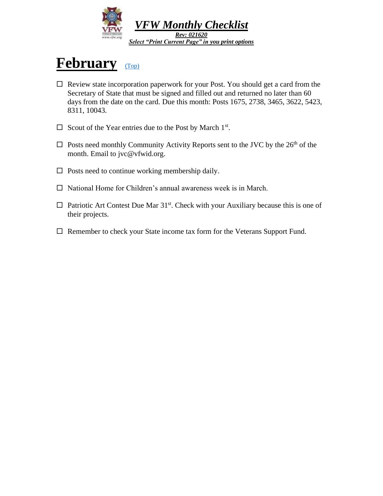

### <span id="page-1-0"></span>**February** [\(Top\)](#page-0-1)

- $\Box$  Review state incorporation paperwork for your Post. You should get a card from the Secretary of State that must be signed and filled out and returned no later than 60 days from the date on the card. Due this month: Posts 1675, 2738, 3465, 3622, 5423, 8311, 10043.
- $\Box$  Scout of the Year entries due to the Post by March 1<sup>st</sup>.
- $\square$  Posts need monthly Community Activity Reports sent to the JVC by the 26<sup>th</sup> of the month. Email to jvc@vfwid.org.
- $\Box$  Posts need to continue working membership daily.
- $\Box$  National Home for Children's annual awareness week is in March.
- $\Box$  Patriotic Art Contest Due Mar 31<sup>st</sup>. Check with your Auxiliary because this is one of their projects.
- $\Box$  Remember to check your State income tax form for the Veterans Support Fund.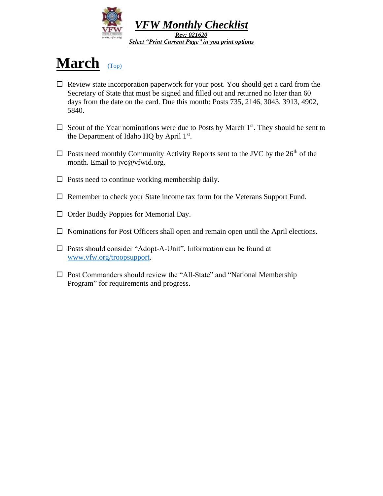

# <span id="page-2-0"></span>**March** [\(Top\)](#page-0-1)

- $\Box$  Review state incorporation paperwork for your post. You should get a card from the Secretary of State that must be signed and filled out and returned no later than 60 days from the date on the card. Due this month: Posts 735, 2146, 3043, 3913, 4902, 5840.
- $\Box$  Scout of the Year nominations were due to Posts by March 1<sup>st</sup>. They should be sent to the Department of Idaho HQ by April 1st.
- $\square$  Posts need monthly Community Activity Reports sent to the JVC by the 26<sup>th</sup> of the month. Email to jvc@vfwid.org.
- $\Box$  Posts need to continue working membership daily.
- $\Box$  Remember to check your State income tax form for the Veterans Support Fund.
- $\Box$  Order Buddy Poppies for Memorial Day.
- $\Box$  Nominations for Post Officers shall open and remain open until the April elections.
- Posts should consider "Adopt-A-Unit". Information can be found at [www.vfw.org/troopsupport.](http://www.vfw.org/troopsupport)
- $\Box$  Post Commanders should review the "All-State" and "National Membership" Program" for requirements and progress.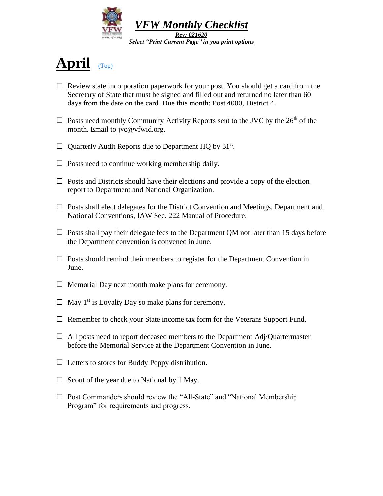

# <span id="page-3-0"></span>**April** [\(Top\)](#page-0-1)

- $\Box$  Review state incorporation paperwork for your post. You should get a card from the Secretary of State that must be signed and filled out and returned no later than 60 days from the date on the card. Due this month: Post 4000, District 4.
- $\Box$  Posts need monthly Community Activity Reports sent to the JVC by the 26<sup>th</sup> of the month. Email to jvc@vfwid.org.
- $\Box$  Quarterly Audit Reports due to Department HQ by 31st.
- $\Box$  Posts need to continue working membership daily.
- $\Box$  Posts and Districts should have their elections and provide a copy of the election report to Department and National Organization.
- $\Box$  Posts shall elect delegates for the District Convention and Meetings, Department and National Conventions, IAW Sec. 222 Manual of Procedure.
- $\Box$  Posts shall pay their delegate fees to the Department QM not later than 15 days before the Department convention is convened in June.
- $\Box$  Posts should remind their members to register for the Department Convention in June.
- $\Box$  Memorial Day next month make plans for ceremony.
- $\Box$  May 1<sup>st</sup> is Loyalty Day so make plans for ceremony.
- $\Box$  Remember to check your State income tax form for the Veterans Support Fund.
- $\Box$  All posts need to report deceased members to the Department Adj/Quartermaster before the Memorial Service at the Department Convention in June.
- $\Box$  Letters to stores for Buddy Poppy distribution.
- $\Box$  Scout of the year due to National by 1 May.
- $\square$  Post Commanders should review the "All-State" and "National Membership Program" for requirements and progress.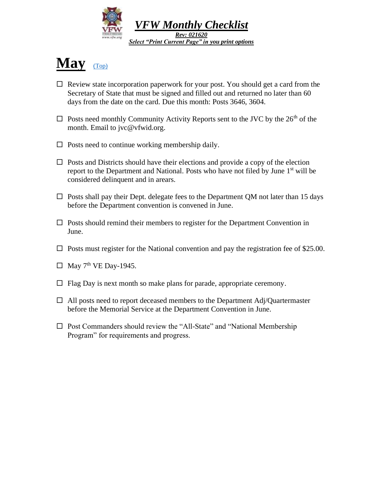

# <span id="page-4-0"></span>**May** [\(Top\)](#page-0-1)

- $\Box$  Review state incorporation paperwork for your post. You should get a card from the Secretary of State that must be signed and filled out and returned no later than 60 days from the date on the card. Due this month: Posts 3646, 3604.
- $\Box$  Posts need monthly Community Activity Reports sent to the JVC by the 26<sup>th</sup> of the month. Email to jvc@vfwid.org.
- $\Box$  Posts need to continue working membership daily.
- $\Box$  Posts and Districts should have their elections and provide a copy of the election report to the Department and National. Posts who have not filed by June 1<sup>st</sup> will be considered delinquent and in arears.
- $\Box$  Posts shall pay their Dept. delegate fees to the Department QM not later than 15 days before the Department convention is convened in June.
- $\square$  Posts should remind their members to register for the Department Convention in June.
- $\Box$  Posts must register for the National convention and pay the registration fee of \$25.00.
- $\Box$  May 7<sup>th</sup> VE Day-1945.
- $\Box$  Flag Day is next month so make plans for parade, appropriate ceremony.
- $\Box$  All posts need to report deceased members to the Department Adj/Quartermaster before the Memorial Service at the Department Convention in June.
- $\square$  Post Commanders should review the "All-State" and "National Membership" Program" for requirements and progress.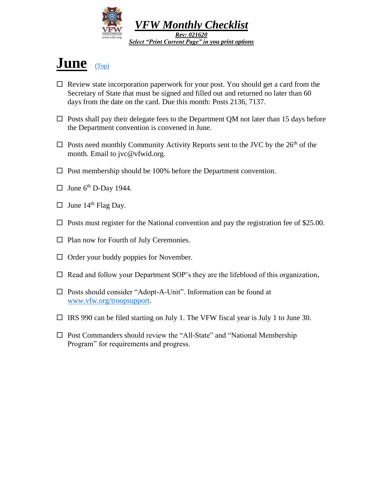

### <span id="page-5-0"></span>**June** [\(Top\)](#page-0-1)

- $\Box$  Review state incorporation paperwork for your post. You should get a card from the Secretary of State that must be signed and filled out and returned no later than 60 days from the date on the card. Due this month: Posts 2136, 7137.
- $\Box$  Posts shall pay their delegate fees to the Department QM not later than 15 days before the Department convention is convened in June.
- $\Box$  Posts need monthly Community Activity Reports sent to the JVC by the 26<sup>th</sup> of the month. Email to jvc@vfwid.org.
- $\square$  Post membership should be 100% before the Department convention.
- $\Box$  June 6<sup>th</sup> D-Day 1944.
- $\Box$  June 14<sup>th</sup> Flag Day.
- $\Box$  Posts must register for the National convention and pay the registration fee of \$25.00.
- $\Box$  Plan now for Fourth of July Ceremonies.
- $\Box$  Order your buddy poppies for November.
- □ Read and follow your Department SOP's they are the lifeblood of this organization.
- Posts should consider "Adopt-A-Unit". Information can be found at [www.vfw.org/troopsupport.](http://www.vfw.org/troopsupport)
- $\Box$  IRS 990 can be filed starting on July 1. The VFW fiscal year is July 1 to June 30.
- $\square$  Post Commanders should review the "All-State" and "National Membership" Program" for requirements and progress.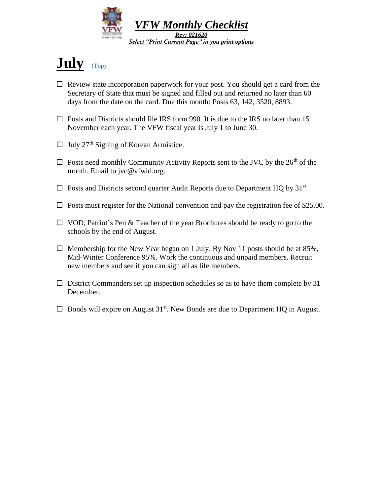

# <span id="page-6-0"></span>**July** [\(Top\)](#page-0-1)

- $\Box$  Review state incorporation paperwork for your post. You should get a card from the Secretary of State that must be signed and filled out and returned no later than 60 days from the date on the card. Due this month: Posts 63, 142, 3520, 8893.
- $\Box$  Posts and Districts should file IRS form 990. It is due to the IRS no later than 15 November each year. The VFW fiscal year is July 1 to June 30.
- $\Box$  July 27<sup>th</sup> Signing of Korean Armistice.
- $\Box$  Posts need monthly Community Activity Reports sent to the JVC by the 26<sup>th</sup> of the month. Email to jvc@vfwid.org.
- $\Box$  Posts and Districts second quarter Audit Reports due to Department HQ by 31<sup>st</sup>.
- $\Box$  Posts must register for the National convention and pay the registration fee of \$25.00.
- $\Box$  VOD, Patriot's Pen & Teacher of the year Brochures should be ready to go to the schools by the end of August.
- $\Box$  Membership for the New Year began on 1 July. By Nov 11 posts should be at 85%, Mid-Winter Conference 95%. Work the continuous and unpaid members. Recruit new members and see if you can sign all as life members.
- $\Box$  District Commanders set up inspection schedules so as to have them complete by 31 December.
- $\Box$  Bonds will expire on August 31<sup>st</sup>. New Bonds are due to Department HQ in August.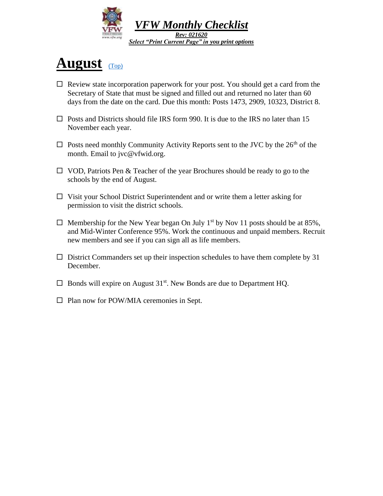

### <span id="page-7-0"></span>**August** [\(Top\)](#page-0-1)

- $\Box$  Review state incorporation paperwork for your post. You should get a card from the Secretary of State that must be signed and filled out and returned no later than 60 days from the date on the card. Due this month: Posts 1473, 2909, 10323, District 8.
- $\Box$  Posts and Districts should file IRS form 990. It is due to the IRS no later than 15 November each year.
- $\Box$  Posts need monthly Community Activity Reports sent to the JVC by the 26<sup>th</sup> of the month. Email to jvc@vfwid.org.
- $\Box$  VOD, Patriots Pen & Teacher of the year Brochures should be ready to go to the schools by the end of August.
- $\Box$  Visit your School District Superintendent and or write them a letter asking for permission to visit the district schools.
- $\Box$  Membership for the New Year began On July 1<sup>st</sup> by Nov 11 posts should be at 85%, and Mid-Winter Conference 95%. Work the continuous and unpaid members. Recruit new members and see if you can sign all as life members.
- $\square$  District Commanders set up their inspection schedules to have them complete by 31 December.
- $\Box$  Bonds will expire on August 31<sup>st</sup>. New Bonds are due to Department HQ.
- $\Box$  Plan now for POW/MIA ceremonies in Sept.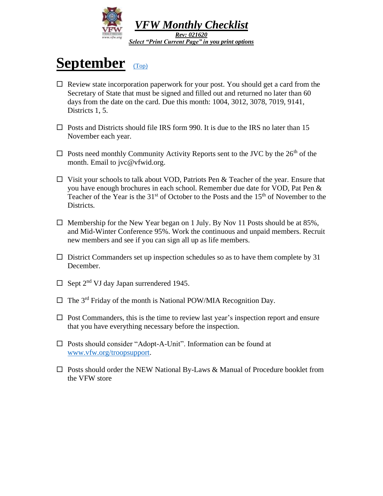

### <span id="page-8-0"></span>September [\(Top\)](#page-0-1)

- $\Box$  Review state incorporation paperwork for your post. You should get a card from the Secretary of State that must be signed and filled out and returned no later than 60 days from the date on the card. Due this month: 1004, 3012, 3078, 7019, 9141, Districts 1, 5.
- $\Box$  Posts and Districts should file IRS form 990. It is due to the IRS no later than 15 November each year.
- $\Box$  Posts need monthly Community Activity Reports sent to the JVC by the 26<sup>th</sup> of the month. Email to jvc@vfwid.org.
- $\Box$  Visit your schools to talk about VOD, Patriots Pen & Teacher of the year. Ensure that you have enough brochures in each school. Remember due date for VOD, Pat Pen & Teacher of the Year is the  $31<sup>st</sup>$  of October to the Posts and the  $15<sup>th</sup>$  of November to the Districts.
- $\Box$  Membership for the New Year began on 1 July. By Nov 11 Posts should be at 85%, and Mid-Winter Conference 95%. Work the continuous and unpaid members. Recruit new members and see if you can sign all up as life members.
- $\square$  District Commanders set up inspection schedules so as to have them complete by 31 December.
- $\Box$  Sept 2<sup>nd</sup> VJ day Japan surrendered 1945.
- $\Box$  The 3<sup>rd</sup> Friday of the month is National POW/MIA Recognition Day.
- $\Box$  Post Commanders, this is the time to review last year's inspection report and ensure that you have everything necessary before the inspection.
- Posts should consider "Adopt-A-Unit". Information can be found at [www.vfw.org/troopsupport.](http://www.vfw.org/troopsupport)
- $\Box$  Posts should order the NEW National By-Laws & Manual of Procedure booklet from the VFW store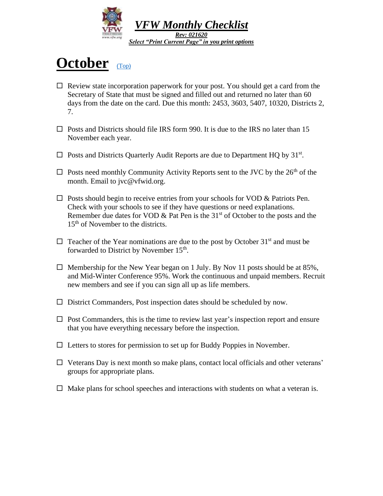

### <span id="page-9-0"></span>**October** [\(Top\)](#page-0-1)

- $\Box$  Review state incorporation paperwork for your post. You should get a card from the Secretary of State that must be signed and filled out and returned no later than 60 days from the date on the card. Due this month: 2453, 3603, 5407, 10320, Districts 2, 7.
- $\Box$  Posts and Districts should file IRS form 990. It is due to the IRS no later than 15 November each year.
- $\Box$  Posts and Districts Quarterly Audit Reports are due to Department HQ by 31<sup>st</sup>.
- $\Box$  Posts need monthly Community Activity Reports sent to the JVC by the 26<sup>th</sup> of the month. Email to jvc@vfwid.org.
- $\Box$  Posts should begin to receive entries from your schools for VOD & Patriots Pen. Check with your schools to see if they have questions or need explanations. Remember due dates for VOD  $\&$  Pat Pen is the 31<sup>st</sup> of October to the posts and the 15<sup>th</sup> of November to the districts.
- $\Box$  Teacher of the Year nominations are due to the post by October 31<sup>st</sup> and must be forwarded to District by November 15<sup>th</sup>.
- $\Box$  Membership for the New Year began on 1 July. By Nov 11 posts should be at 85%, and Mid-Winter Conference 95%. Work the continuous and unpaid members. Recruit new members and see if you can sign all up as life members.
- $\Box$  District Commanders, Post inspection dates should be scheduled by now.
- $\Box$  Post Commanders, this is the time to review last year's inspection report and ensure that you have everything necessary before the inspection.
- $\Box$  Letters to stores for permission to set up for Buddy Poppies in November.
- $\Box$  Veterans Day is next month so make plans, contact local officials and other veterans' groups for appropriate plans.
- $\Box$  Make plans for school speeches and interactions with students on what a veteran is.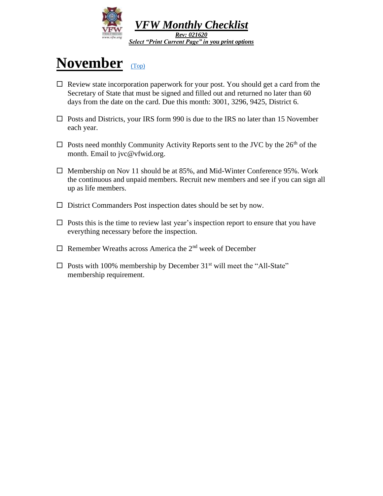

### <span id="page-10-0"></span>**November** [\(Top\)](#page-0-1)

- $\Box$  Review state incorporation paperwork for your post. You should get a card from the Secretary of State that must be signed and filled out and returned no later than 60 days from the date on the card. Due this month: 3001, 3296, 9425, District 6.
- $\square$  Posts and Districts, your IRS form 990 is due to the IRS no later than 15 November each year.
- $\Box$  Posts need monthly Community Activity Reports sent to the JVC by the 26<sup>th</sup> of the month. Email to jvc@vfwid.org.
- $\Box$  Membership on Nov 11 should be at 85%, and Mid-Winter Conference 95%. Work the continuous and unpaid members. Recruit new members and see if you can sign all up as life members.
- $\square$  District Commanders Post inspection dates should be set by now.
- $\Box$  Posts this is the time to review last year's inspection report to ensure that you have everything necessary before the inspection.
- $\Box$  Remember Wreaths across America the 2<sup>nd</sup> week of December
- $\square$  Posts with 100% membership by December 31<sup>st</sup> will meet the "All-State" membership requirement.